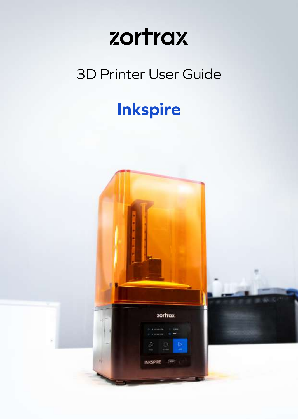# 3D Printer User Guide

# **Inkspire**

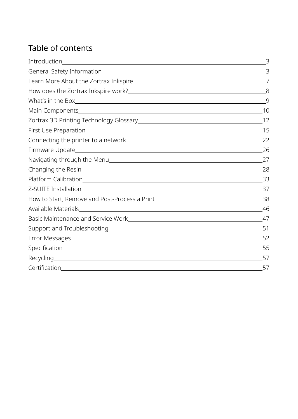# Table of contents

|              | 8  |
|--------------|----|
|              | -9 |
|              |    |
|              |    |
|              |    |
|              |    |
|              |    |
|              |    |
|              |    |
|              |    |
|              |    |
|              |    |
|              |    |
|              |    |
|              |    |
|              |    |
|              |    |
| Recycling 57 |    |
|              | 57 |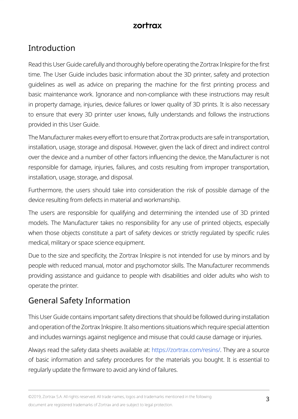# <span id="page-2-0"></span>Introduction

Read this User Guide carefully and thoroughly before operating the Zortrax Inkspire for the first time. The User Guide includes basic information about the 3D printer, safety and protection guidelines as well as advice on preparing the machine for the first printing process and basic maintenance work. Ignorance and non-compliance with these instructions may result in property damage, injuries, device failures or lower quality of 3D prints. It is also necessary to ensure that every 3D printer user knows, fully understands and follows the instructions provided in this User Guide.

The Manufacturer makes every effort to ensure that Zortrax products are safe in transportation, installation, usage, storage and disposal. However, given the lack of direct and indirect control over the device and a number of other factors influencing the device, the Manufacturer is not responsible for damage, injuries, failures, and costs resulting from improper transportation, installation, usage, storage, and disposal.

Furthermore, the users should take into consideration the risk of possible damage of the device resulting from defects in material and workmanship.

The users are responsible for qualifying and determining the intended use of 3D printed models. The Manufacturer takes no responsibility for any use of printed objects, especially when those objects constitute a part of safety devices or strictly regulated by specific rules medical, military or space science equipment.

Due to the size and specificity, the Zortrax Inkspire is not intended for use by minors and by people with reduced manual, motor and psychomotor skills. The Manufacturer recommends providing assistance and guidance to people with disabilities and older adults who wish to operate the printer.

# General Safety Information

This User Guide contains important safety directions that should be followed during installation and operation of the Zortrax Inkspire. It also mentions situations which require special attention and includes warnings against negligence and misuse that could cause damage or injuries.

Always read the safety data sheets available at: <https://zortrax.com/resins/>. They are a source of basic information and safety procedures for the materials you bought. It is essential to regularly update the firmware to avoid any kind of failures.

©2019, Zortrax S.A. All rights reserved. All trade names, logos and trademarks mentioned in the following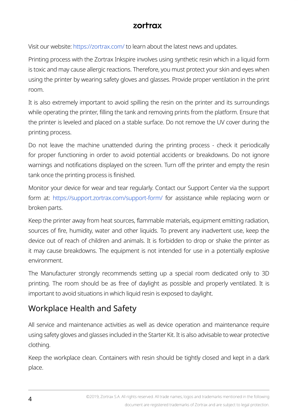Visit our website:<https://zortrax.com/> to learn about the latest news and updates.

Printing process with the Zortrax Inkspire involves using synthetic resin which in a liquid form is toxic and may cause allergic reactions. Therefore, you must protect your skin and eyes when using the printer by wearing safety gloves and glasses. Provide proper ventilation in the print room.

It is also extremely important to avoid spilling the resin on the printer and its surroundings while operating the printer, filling the tank and removing prints from the platform. Ensure that the printer is leveled and placed on a stable surface. Do not remove the UV cover during the printing process.

Do not leave the machine unattended during the printing process - check it periodically for proper functioning in order to avoid potential accidents or breakdowns. Do not ignore warnings and notifications displayed on the screen. Turn off the printer and empty the resin tank once the printing process is finished.

Monitor your device for wear and tear regularly. Contact our Support Center via the support form at: <https://support.zortrax.com/support-form/> for assistance while replacing worn or broken parts.

Keep the printer away from heat sources, flammable materials, equipment emitting radiation, sources of fire, humidity, water and other liquids. To prevent any inadvertent use, keep the device out of reach of children and animals. It is forbidden to drop or shake the printer as it may cause breakdowns. The equipment is not intended for use in a potentially explosive environment.

The Manufacturer strongly recommends setting up a special room dedicated only to 3D printing. The room should be as free of daylight as possible and properly ventilated. It is important to avoid situations in which liquid resin is exposed to daylight.

# Workplace Health and Safety

All service and maintenance activities as well as device operation and maintenance require using safety gloves and glasses included in the Starter Kit. It is also advisable to wear protective clothing.

Keep the workplace clean. Containers with resin should be tightly closed and kept in a dark place.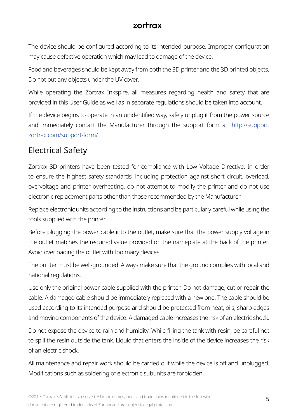The device should be configured according to its intended purpose. Improper configuration may cause defective operation which may lead to damage of the device.

Food and beverages should be kept away from both the 3D printer and the 3D printed objects. Do not put any objects under the UV cover.

While operating the Zortrax Inkspire, all measures regarding health and safety that are provided in this User Guide as well as in separate regulations should be taken into account.

If the device begins to operate in an unidentified way, safely unplug it from the power source and immediately contact the Manufacturer through the support form at: [http://support.](http://support.zortrax.com/support-form/) [zortrax.com/support-form/.](http://support.zortrax.com/support-form/)

# Electrical Safety

Zortrax 3D printers have been tested for compliance with Low Voltage Directive. In order to ensure the highest safety standards, including protection against short circuit, overload, overvoltage and printer overheating, do not attempt to modify the printer and do not use electronic replacement parts other than those recommended by the Manufacturer.

Replace electronic units according to the instructions and be particularly careful while using the tools supplied with the printer.

Before plugging the power cable into the outlet, make sure that the power supply voltage in the outlet matches the required value provided on the nameplate at the back of the printer. Avoid overloading the outlet with too many devices.

The printer must be well-grounded. Always make sure that the ground complies with local and national regulations.

Use only the original power cable supplied with the printer. Do not damage, cut or repair the cable. A damaged cable should be immediately replaced with a new one. The cable should be used according to its intended purpose and should be protected from heat, oils, sharp edges and moving components of the device. A damaged cable increases the risk of an electric shock.

Do not expose the device to rain and humidity. While filling the tank with resin, be careful not to spill the resin outside the tank. Liquid that enters the inside of the device increases the risk of an electric shock.

All maintenance and repair work should be carried out while the device is off and unplugged. Modifications such as soldering of electronic subunits are forbidden.

©2019, Zortrax S.A. All rights reserved. All trade names, logos and trademarks mentioned in the following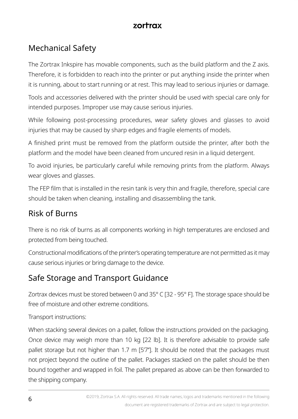# Mechanical Safety

The Zortrax Inkspire has movable components, such as the build platform and the Z axis. Therefore, it is forbidden to reach into the printer or put anything inside the printer when it is running, about to start running or at rest. This may lead to serious injuries or damage.

Tools and accessories delivered with the printer should be used with special care only for intended purposes. Improper use may cause serious injuries.

While following post-processing procedures, wear safety gloves and glasses to avoid injuries that may be caused by sharp edges and fragile elements of models.

A finished print must be removed from the platform outside the printer, after both the platform and the model have been cleaned from uncured resin in a liquid detergent.

To avoid injuries, be particularly careful while removing prints from the platform. Always wear gloves and glasses.

The FEP film that is installed in the resin tank is very thin and fragile, therefore, special care should be taken when cleaning, installing and disassembling the tank.

# Risk of Burns

There is no risk of burns as all components working in high temperatures are enclosed and protected from being touched.

Constructional modifications of the printer's operating temperature are not permitted as it may cause serious injuries or bring damage to the device.

# Safe Storage and Transport Guidance

Zortrax devices must be stored between 0 and 35° C [32 - 95° F]. The storage space should be free of moisture and other extreme conditions.

Transport instructions:

When stacking several devices on a pallet, follow the instructions provided on the packaging. Once device may weigh more than 10 kg [22 lb]. It is therefore advisable to provide safe pallet storage but not higher than 1.7 m [5'7"]. It should be noted that the packages must not project beyond the outline of the pallet. Packages stacked on the pallet should be then bound together and wrapped in foil. The pallet prepared as above can be then forwarded to the shipping company.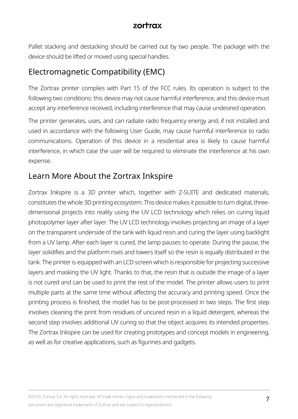<span id="page-6-0"></span>Pallet stacking and destacking should be carried out by two people. The package with the device should be lifted or moved using special handles.

# Electromagnetic Compatibility (EMC)

The Zortrax printer complies with Part 15 of the FCC rules. Its operation is subject to the following two conditions: this device may not cause harmful interference, and this device must accept any interference received, including interference that may cause undesired operation.

The printer generates, uses, and can radiate radio frequency energy and, if not installed and used in accordance with the following User Guide, may cause harmful interference to radio communications. Operation of this device in a residential area is likely to cause harmful interference, in which case the user will be required to eliminate the interference at his own expense.

## Learn More About the Zortrax Inkspire

Zortrax Inkspire is a 3D printer which, together with Z-SUITE and dedicated materials, constitutes the whole 3D printing ecosystem. This device makes it possible to turn digital, threedimensional projects into reality using the UV LCD technology which relies on curing liquid photopolymer layer after layer. The UV LCD technology involves projecting an image of a layer on the transparent underside of the tank with liquid resin and curing the layer using backlight from a UV lamp. After each layer is cured, the lamp pauses to operate. During the pause, the layer solidifies and the platform rises and lowers itself so the resin is equally distributed in the tank. The printer is equipped with an LCD screen which is responsible for projecting successive layers and masking the UV light. Thanks to that, the resin that is outside the image of a layer is not cured and can be used to print the rest of the model. The printer allows users to print multiple parts at the same time without affecting the accuracy and printing speed. Once the printing process is finished, the model has to be post-processed in two steps. The first step involves cleaning the print from residues of uncured resin in a liquid detergent, whereas the second step involves additional UV curing so that the object acquires its intended properties. The Zortrax Inkspire can be used for creating prototypes and concept models in engineering, as well as for creative applications, such as figurines and gadgets.

©2019, Zortrax S.A. All rights reserved. All trade names, logos and trademarks mentioned in the following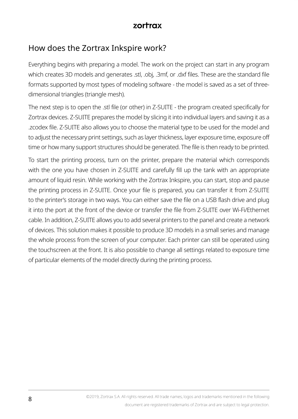## <span id="page-7-0"></span>How does the Zortrax Inkspire work?

Everything begins with preparing a model. The work on the project can start in any program which creates 3D models and generates .stl, .obj, .3mf, or .dxf files. These are the standard file formats supported by most types of modeling software - the model is saved as a set of threedimensional triangles (triangle mesh).

The next step is to open the .stl file (or other) in Z-SUITE - the program created specifically for Zortrax devices. Z-SUITE prepares the model by slicing it into individual layers and saving it as a .zcodex file. Z-SUITE also allows you to choose the material type to be used for the model and to adjust the necessary print settings, such as layer thickness, layer exposure time, exposure off time or how many support structures should be generated. The file is then ready to be printed.

To start the printing process, turn on the printer, prepare the material which corresponds with the one you have chosen in Z-SUITE and carefully fill up the tank with an appropriate amount of liquid resin. While working with the Zortrax Inkspire, you can start, stop and pause the printing process in Z-SUITE. Once your file is prepared, you can transfer it from Z-SUITE to the printer's storage in two ways. You can either save the file on a USB flash drive and plug it into the port at the front of the device or transfer the file from Z-SUITE over Wi-Fi/Ethernet cable. In addition, Z-SUITE allows you to add several printers to the panel and create a network of devices. This solution makes it possible to produce 3D models in a small series and manage the whole process from the screen of your computer. Each printer can still be operated using the touchscreen at the front. It is also possible to change all settings related to exposure time of particular elements of the model directly during the printing process.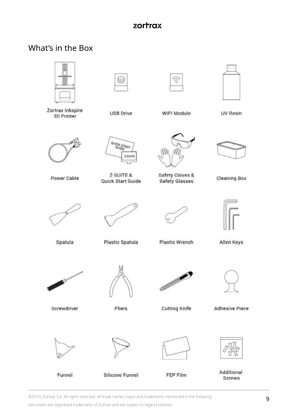# <span id="page-8-0"></span>What's in the Box

|                                                |                                | ā                                        |                       |
|------------------------------------------------|--------------------------------|------------------------------------------|-----------------------|
| Zortrax Inkspire<br>3D Printer                 | <b>USB Drive</b>               | WIFI Module                              | UV Resin              |
|                                                | <b>GUICK START</b><br>Z SUITE  |                                          |                       |
| Power Cable                                    | Z-SUITE &<br>Quick Start Guide | Safety Gloves &<br><b>Safety Glasses</b> | <b>Cleaning Box</b>   |
|                                                |                                |                                          | $\sqrt{r}$            |
| Spatula                                        | Plastic Spatula                | Plastic Wrench                           | Allen Keys            |
| Charles Corporation Corporation<br>Screwdriver |                                | <b>CONTRACTOR</b>                        |                       |
|                                                | Pliers                         | <b>Cutting Knife</b>                     | <b>Adhesive Piece</b> |
|                                                |                                |                                          |                       |
| Funnel                                         | <b>Silicone Funnel</b>         | FEP Film                                 | Additional<br>Screws  |

©2019, Zortrax S.A. All rights reserved. All trade names, logos and trademarks mentioned in the following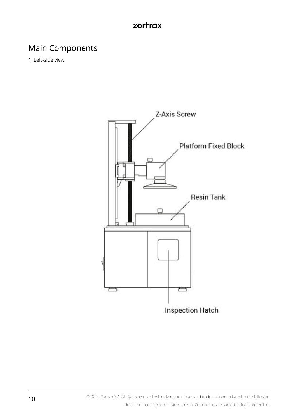# <span id="page-9-0"></span>Main Components

1. Left-side view

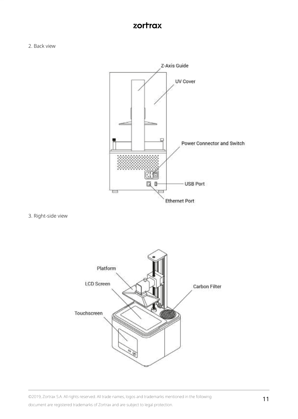2. Back view



3. Right-side view



©2019, Zortrax S.A. All rights reserved. All trade names, logos and trademarks mentioned in the following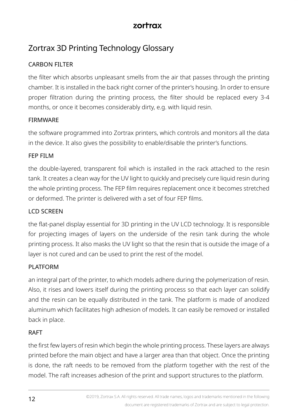# <span id="page-11-0"></span>Zortrax 3D Printing Technology Glossary

#### CARBON FILTER

the filter which absorbs unpleasant smells from the air that passes through the printing chamber. It is installed in the back right corner of the printer's housing. In order to ensure proper filtration during the printing process, the filter should be replaced every 3-4 months, or once it becomes considerably dirty, e.g. with liquid resin.

#### **EIRMWARE**

the software programmed into Zortrax printers, which controls and monitors all the data in the device. It also gives the possibility to enable/disable the printer's functions.

#### FEP FILM

the double-layered, transparent foil which is installed in the rack attached to the resin tank. It creates a clean way for the UV light to quickly and precisely cure liquid resin during the whole printing process. The FEP film requires replacement once it becomes stretched or deformed. The printer is delivered with a set of four FEP films.

#### LCD SCREEN

the flat-panel display essential for 3D printing in the UV LCD technology. It is responsible for projecting images of layers on the underside of the resin tank during the whole printing process. It also masks the UV light so that the resin that is outside the image of a layer is not cured and can be used to print the rest of the model.

#### PLATFORM

an integral part of the printer, to which models adhere during the polymerization of resin. Also, it rises and lowers itself during the printing process so that each layer can solidify and the resin can be equally distributed in the tank. The platform is made of anodized aluminum which facilitates high adhesion of models. It can easily be removed or installed back in place.

#### RAFT

the first few layers of resin which begin the whole printing process. These layers are always printed before the main object and have a larger area than that object. Once the printing is done, the raft needs to be removed from the platform together with the rest of the model. The raft increases adhesion of the print and support structures to the platform.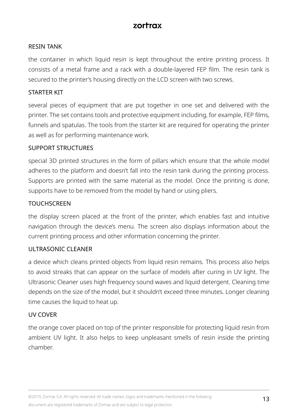#### RESIN TANK

the container in which liquid resin is kept throughout the entire printing process. It consists of a metal frame and a rack with a double-layered FEP film. The resin tank is secured to the printer's housing directly on the LCD screen with two screws.

#### STARTER KIT

several pieces of equipment that are put together in one set and delivered with the printer. The set contains tools and protective equipment including, for example, FEP films, funnels and spatulas. The tools from the starter kit are required for operating the printer as well as for performing maintenance work.

#### SUPPORT STRUCTURES

special 3D printed structures in the form of pillars which ensure that the whole model adheres to the platform and doesn't fall into the resin tank during the printing process. Supports are printed with the same material as the model. Once the printing is done, supports have to be removed from the model by hand or using pliers.

#### **TOUCHSCREEN**

the display screen placed at the front of the printer, which enables fast and intuitive navigation through the device's menu. The screen also displays information about the current printing process and other information concerning the printer.

#### ULTRASONIC CLEANER

a device which cleans printed objects from liquid resin remains. This process also helps to avoid streaks that can appear on the surface of models after curing in UV light. The Ultrasonic Cleaner uses high frequency sound waves and liquid detergent. Cleaning time depends on the size of the model, but it shouldn't exceed three minutes. Longer cleaning time causes the liquid to heat up.

#### UV COVER

the orange cover placed on top of the printer responsible for protecting liquid resin from ambient UV light. It also helps to keep unpleasant smells of resin inside the printing chamber.

©2019, Zortrax S.A. All rights reserved. All trade names, logos and trademarks mentioned in the following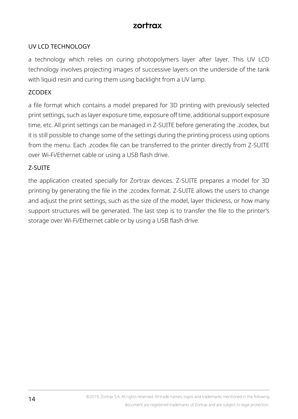#### UV LCD TECHNOLOGY

a technology which relies on curing photopolymers layer after layer. This UV LCD technology involves projecting images of successive layers on the underside of the tank with liquid resin and curing them using backlight from a UV lamp.

#### ZCODEX

a file format which contains a model prepared for 3D printing with previously selected print settings, such as layer exposure time, exposure off time, additional support exposure time, etc. All print settings can be managed in Z-SUITE before generating the .zcodex, but it is still possible to change some of the settings during the printing process using options from the menu. Each .zcodex file can be transferred to the printer directly from Z-SUITE over Wi-Fi/Ethernet cable or using a USB flash drive.

#### Z-SUITE

the application created specially for Zortrax devices. Z-SUITE prepares a model for 3D printing by generating the file in the .zcodex format. Z-SUITE allows the users to change and adjust the print settings, such as the size of the model, layer thickness, or how many support structures will be generated. The last step is to transfer the file to the printer's storage over Wi-Fi/Ethernet cable or by using a USB flash drive.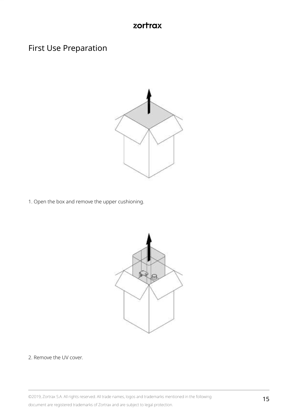## <span id="page-14-0"></span>First Use Preparation



1. Open the box and remove the upper cushioning.



2. Remove the UV cover.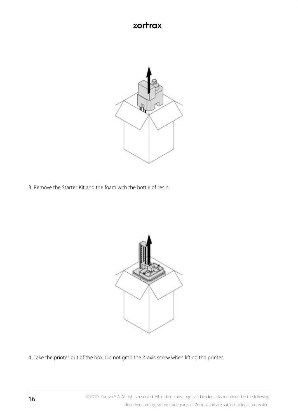

3. Remove the Starter Kit and the foam with the bottle of resin.



4. Take the printer out of the box. Do not grab the Z-axis screw when lifting the printer.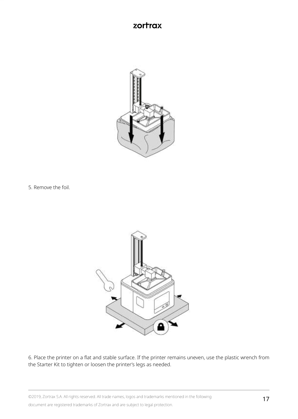

5. Remove the foil.



6. Place the printer on a flat and stable surface. If the printer remains uneven, use the plastic wrench from the Starter Kit to tighten or loosen the printer's legs as needed.

©2019, Zortrax S.A. All rights reserved. All trade names, logos and trademarks mentioned in the following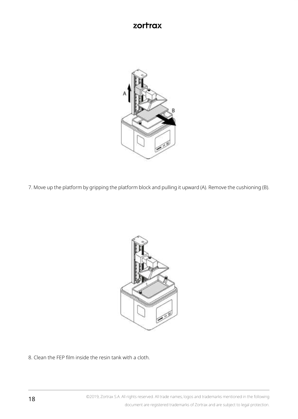

7. Move up the platform by gripping the platform block and pulling it upward (A). Remove the cushioning (B).



8. Clean the FEP film inside the resin tank with a cloth.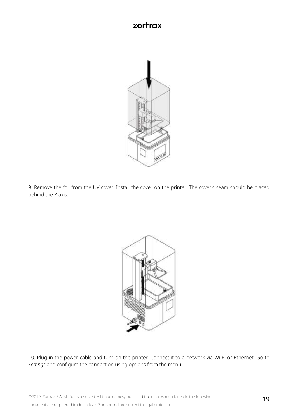

9. Remove the foil from the UV cover. Install the cover on the printer. The cover's seam should be placed behind the Z axis.



10. Plug in the power cable and turn on the printer. Connect it to a network via Wi-Fi or Ethernet. Go to *Settings* and configure the connection using options from the menu.

©2019, Zortrax S.A. All rights reserved. All trade names, logos and trademarks mentioned in the following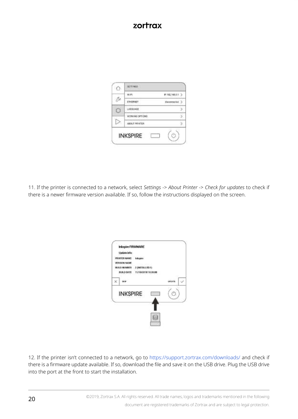

11. If the printer is connected to a network, select *Settings* -> *About Printer* -> *Check for updates* to check if there is a newer firmware version available. If so, follow the instructions displayed on the screen.

| <b>Update info</b><br><b>Marine</b><br><b><i>SMAKRETER</i></b>                       |  |
|--------------------------------------------------------------------------------------|--|
| <b><i>PETERINA INAME</i></b><br>N Mê<br><b>FILMARK S.S.S.</b><br>$-2$ decided fit to |  |
| INSED DATE 11/18/2018 10:00:06                                                       |  |
|                                                                                      |  |
| <b>INKSPIRE</b>                                                                      |  |
|                                                                                      |  |

12. If the printer isn't connected to a network, go to<https://support.zortrax.com/downloads/> and check if there is a firmware update available. If so, download the file and save it on the USB drive. Plug the USB drive into the port at the front to start the installation.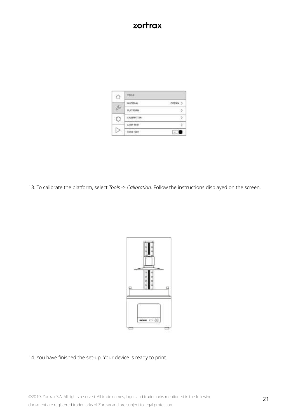| TOULS              |  |
|--------------------|--|
|                    |  |
|                    |  |
| CALIFORNITION<br>۱ |  |
|                    |  |
|                    |  |

13. To calibrate the platform, select *Tools* -> *Calibration*. Follow the instructions displayed on the screen.



#### 14. You have finished the set-up. Your device is ready to print.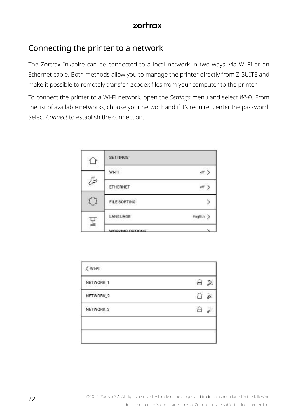## <span id="page-21-0"></span>Connecting the printer to a network

The Zortrax Inkspire can be connected to a local network in two ways: via Wi-Fi or an Ethernet cable. Both methods allow you to manage the printer directly from Z-SUITE and make it possible to remotely transfer .zcodex files from your computer to the printer.

To connect the printer to a Wi-Fi network, open the *Settings* menu and select *Wi-Fi*. From the list of available networks, choose your network and if it's required, enter the password. Select *Connect* to establish the connection.

|   | <b>SETTINGS</b> |           |
|---|-----------------|-----------|
|   | WI-FI           | off >     |
| D | ETHERNET        | off       |
|   | FILE SORTING    | 7         |
|   | LANGUAGE        | Foglish > |
|   | WORKING ORTHONG |           |

| NETWORK_1 | A<br>57        |
|-----------|----------------|
| NETWORK_2 | $\theta$<br>S. |
| NETWORK_3 | ň              |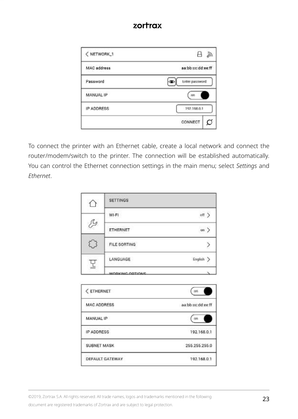| < NETWORK_1        | А<br>$\widetilde{\epsilon_{6}}$ |
|--------------------|---------------------------------|
| <b>MAC</b> address | aa:bb:cc:dd:ee:ff               |
| Password           | Enter password                  |
| MANUAL IP          | .co                             |
| IP ADDRESS         | 192,168.0.1                     |
|                    | CONNECT<br>O                    |

To connect the printer with an Ethernet cable, create a local network and connect the router/modem/switch to the printer. The connection will be established automatically. You can control the Ethernet connection settings in the main menu; select *Settings* and *Ethernet*.

|   | <b>SETTINGS</b>  |              |
|---|------------------|--------------|
|   | WI-FI            | $_{\rm off}$ |
| 乃 | ETHERNET         | un           |
|   | FILE SORTING     |              |
|   | LANGUAGE         | English >    |
|   | WODKING OPTIONS: |              |

| < ETHERNET             | œ                 |
|------------------------|-------------------|
| <b>MAC ADDRESS</b>     | aa.bb:cc:dd:ee:ff |
| MANUAL IP              | $\alpha$          |
| IP ADDRESS             | 192.168.0.1       |
| <b>SUBNET MASK</b>     | 255.255.255.0     |
| <b>DEFAULT GATEWAY</b> | 192.168.0.1       |

©2019, Zortrax S.A. All rights reserved. All trade names, logos and trademarks mentioned in the following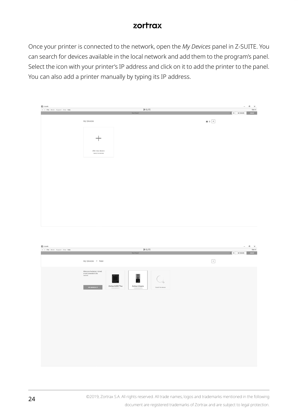Once your printer is connected to the network, open the *My Devices* panel in Z-SUITE. You can search for devices available in the local network and add them to the program's panel. Select the icon with your printer's IP address and click on it to add the printer to the panel. You can also add a printer manually by typing its IP address.

| <b>B</b> z satt<br>C 3 FM Mobi Support View Rely |                                      | 2-SUITE<br><b>New Project</b> |  |                               | $x + w$ resear | $ a$ $\times$<br>Sprin<br>$\sim$ 1000 $\sigma$ |
|--------------------------------------------------|--------------------------------------|-------------------------------|--|-------------------------------|----------------|------------------------------------------------|
|                                                  | My Davices                           |                               |  | $\mathbf{u} \equiv \boxed{+}$ |                |                                                |
|                                                  | $^{+}$                               |                               |  |                               |                |                                                |
|                                                  | Add new device<br>Search for devices |                               |  |                               |                |                                                |
|                                                  |                                      |                               |  |                               |                |                                                |
|                                                  |                                      |                               |  |                               |                |                                                |
|                                                  |                                      |                               |  |                               |                |                                                |
|                                                  |                                      |                               |  |                               |                |                                                |
|                                                  |                                      |                               |  |                               |                |                                                |
|                                                  |                                      |                               |  |                               |                |                                                |
| <b>B</b> z satt                                  |                                      |                               |  |                               |                | $   \times$                                    |

| C 3 FM Mobil Support View Relig | 2-SUTE                                                                                                                                                                                                                                                                                                                                                                                                                                                                                                                                                                                                                              |             | Sprin        |
|---------------------------------|-------------------------------------------------------------------------------------------------------------------------------------------------------------------------------------------------------------------------------------------------------------------------------------------------------------------------------------------------------------------------------------------------------------------------------------------------------------------------------------------------------------------------------------------------------------------------------------------------------------------------------------|-------------|--------------|
|                                 | <b>New Feders</b>                                                                                                                                                                                                                                                                                                                                                                                                                                                                                                                                                                                                                   | $x +$ wrown | $-$ 1999 $-$ |
|                                 | My Davices > New                                                                                                                                                                                                                                                                                                                                                                                                                                                                                                                                                                                                                    | $\epsilon$  |              |
|                                 | Mike sure the device is furned<br>on and some ded to the<br>network<br>۰<br>Zwitan M200 Plus<br>Zorbax Inkspire<br>ARE MERINGER<br>Search for devices<br>$\frac{1}{2} \left( \frac{1}{2} \right) \left( \frac{1}{2} \right) \left( \frac{1}{2} \right) \left( \frac{1}{2} \right) \left( \frac{1}{2} \right) \left( \frac{1}{2} \right) \left( \frac{1}{2} \right) \left( \frac{1}{2} \right) \left( \frac{1}{2} \right) \left( \frac{1}{2} \right) \left( \frac{1}{2} \right) \left( \frac{1}{2} \right) \left( \frac{1}{2} \right) \left( \frac{1}{2} \right) \left( \frac{1}{2} \right) \left( \frac{1}{2} \right) \left( \frac$ |             |              |
|                                 |                                                                                                                                                                                                                                                                                                                                                                                                                                                                                                                                                                                                                                     |             |              |
|                                 |                                                                                                                                                                                                                                                                                                                                                                                                                                                                                                                                                                                                                                     |             |              |
|                                 |                                                                                                                                                                                                                                                                                                                                                                                                                                                                                                                                                                                                                                     |             |              |
|                                 |                                                                                                                                                                                                                                                                                                                                                                                                                                                                                                                                                                                                                                     |             |              |

©2019, Zortrax S.A. All rights reserved. All trade names, logos and trademarks mentioned in the following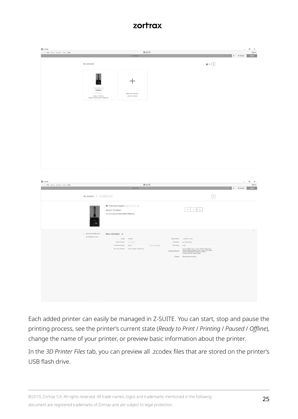| $\zeta$ ) Fig. Mold Supply Very Rep. |                                         |                                                                                          | 2-SUITE                                   |                                                                              |                                                                                                                                                                                                                                 | $ a$ $\times$                                               | Sign in |
|--------------------------------------|-----------------------------------------|------------------------------------------------------------------------------------------|-------------------------------------------|------------------------------------------------------------------------------|---------------------------------------------------------------------------------------------------------------------------------------------------------------------------------------------------------------------------------|-------------------------------------------------------------|---------|
|                                      | My Davices                              |                                                                                          |                                           |                                                                              | $\mathbf{u} \equiv \left[ \begin{array}{cc} + \end{array} \right]$                                                                                                                                                              | $\mathbf{x} \rightarrow -$ wrown $\mathbf{x} \rightarrow -$ |         |
|                                      | Intapire<br>-<br>RNH Zylle Edit Thinky  |                                                                                          | Add new device<br>Dranch for devices      |                                                                              |                                                                                                                                                                                                                                 |                                                             |         |
|                                      |                                         |                                                                                          |                                           |                                                                              |                                                                                                                                                                                                                                 |                                                             |         |
|                                      |                                         |                                                                                          |                                           |                                                                              |                                                                                                                                                                                                                                 |                                                             |         |
|                                      |                                         |                                                                                          |                                           |                                                                              |                                                                                                                                                                                                                                 |                                                             |         |
|                                      |                                         |                                                                                          |                                           |                                                                              |                                                                                                                                                                                                                                 |                                                             |         |
| $\zeta$ ) Fin Mold Supply War Rep    |                                         |                                                                                          | 2-sunt                                    |                                                                              |                                                                                                                                                                                                                                 | $ a$ $\times$                                               |         |
|                                      | My Devices > Party Company              |                                                                                          |                                           |                                                                              | $\overline{\epsilon}$                                                                                                                                                                                                           | a + week and                                                |         |
|                                      |                                         | Nr 1 Zortrax Inkspire da<br>READY TO PRINT<br>List used material Zichian MANC Winterborg |                                           |                                                                              |                                                                                                                                                                                                                                 |                                                             | Sign in |
|                                      | $ $ -MAC INTORNATOR<br>30 PRINTER FILES | Basic information (3)<br>Mobil Highw<br>Fitness series 2017                              | Led and makelat - Zobia Biddit Afrikahasy | <b>Chick brupillite</b><br>Tehning: LCD<br><b><i>Installa materialis</i></b> | Ballystone 120/HcP2mm<br>Ferniter: 25-10-noons<br>Zatra: BASC Sny Zatra: BobC Intellector<br>Zatra: BASC Pigmat Free, Zatra: PRC Black,<br>Zatra: FLOGEZ, Transparent Infox,<br>Zatra: DDNN, Most bags<br>Genet Machines resent |                                                             |         |
|                                      |                                         |                                                                                          |                                           |                                                                              |                                                                                                                                                                                                                                 |                                                             |         |

Each added printer can easily be managed in Z-SUITE. You can start, stop and pause the printing process, see the printer's current state (*Ready to Print* / *Printing* / *Paused* / *Offline*), change the name of your printer, or preview basic information about the printer.

In the *3D Printer Files* tab, you can preview all .zcodex files that are stored on the printer's USB flash drive.

©2019, Zortrax S.A. All rights reserved. All trade names, logos and trademarks mentioned in the following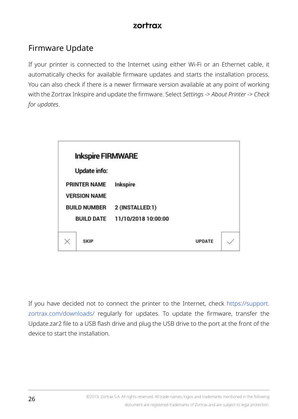# <span id="page-25-0"></span>Firmware Update

If your printer is connected to the Internet using either Wi-Fi or an Ethernet cable, it automatically checks for available firmware updates and starts the installation process. You can also check if there is a newer firmware version available at any point of working with the Zortrax Inkspire and update the firmware. Select *Settings* -> *About Printer* -> *Check for updates*.



If you have decided not to connect the printer to the Internet, check [https://support.](https://support.zortrax.com/downloads/) [zortrax.com/downloads/](https://support.zortrax.com/downloads/) regularly for updates. To update the firmware, transfer the Update.zar2 file to a USB flash drive and plug the USB drive to the port at the front of the device to start the installation.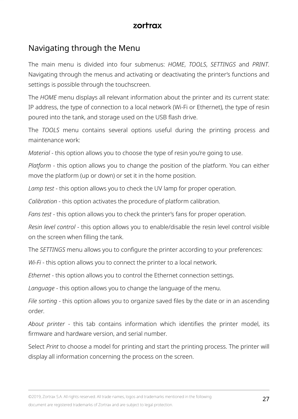## <span id="page-26-0"></span>Navigating through the Menu

The main menu is divided into four submenus: *HOME*, *TOOLS*, *SETTINGS* and *PRINT*. Navigating through the menus and activating or deactivating the printer's functions and settings is possible through the touchscreen.

The *HOME* menu displays all relevant information about the printer and its current state: IP address, the type of connection to a local network (Wi-Fi or Ethernet), the type of resin poured into the tank, and storage used on the USB flash drive.

The *TOOLS* menu contains several options useful during the printing process and maintenance work:

*Material* - this option allows you to choose the type of resin you're going to use.

*Platform* - this option allows you to change the position of the platform. You can either move the platform (up or down) or set it in the home position.

*Lamp test* - this option allows you to check the UV lamp for proper operation.

*Calibration* - this option activates the procedure of platform calibration.

*Fans test* - this option allows you to check the printer's fans for proper operation.

*Resin level control* - this option allows you to enable/disable the resin level control visible on the screen when filling the tank.

The *SETTINGS* menu allows you to configure the printer according to your preferences:

*Wi-Fi* - this option allows you to connect the printer to a local network.

*Ethernet* - this option allows you to control the Ethernet connection settings.

*Language* - this option allows you to change the language of the menu.

*File sorting* - this option allows you to organize saved files by the date or in an ascending order.

*About printer* - this tab contains information which identifies the printer model, its firmware and hardware version, and serial number.

Select *Print* to choose a model for printing and start the printing process. The printer will display all information concerning the process on the screen.

©2019, Zortrax S.A. All rights reserved. All trade names, logos and trademarks mentioned in the following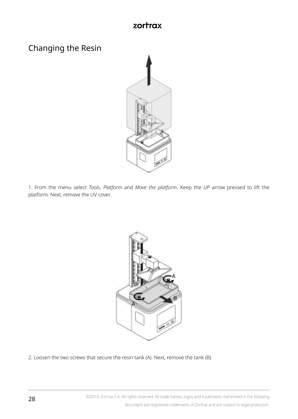# <span id="page-27-0"></span>Changing the Resin



1. From the menu select *Tools*, *Platform* and *Move the platform*. Keep the *UP* arrow pressed to lift the platform. Next, remove the UV cover.



2. Loosen the two screws that secure the resin tank (A). Next, remove the tank (B).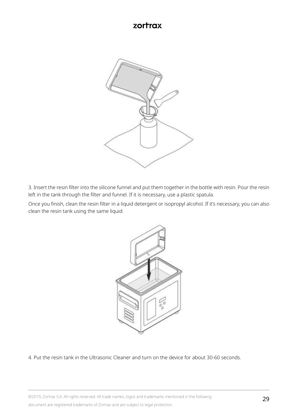

3. Insert the resin filter into the silicone funnel and put them together in the bottle with resin. Pour the resin left in the tank through the filter and funnel. If it is necessary, use a plastic spatula.

Once you finish, clean the resin filter in a liquid detergent or isopropyl alcohol. If it's necessary, you can also clean the resin tank using the same liquid.



4. Put the resin tank in the Ultrasonic Cleaner and turn on the device for about 30-60 seconds.

©2019, Zortrax S.A. All rights reserved. All trade names, logos and trademarks mentioned in the following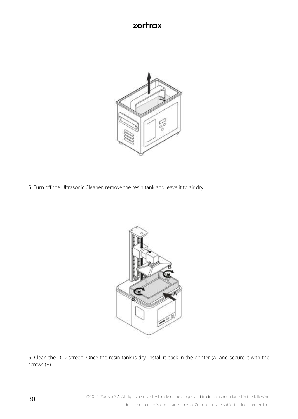

5. Turn off the Ultrasonic Cleaner, remove the resin tank and leave it to air dry.



6. Clean the LCD screen. Once the resin tank is dry, install it back in the printer (A) and secure it with the screws (B).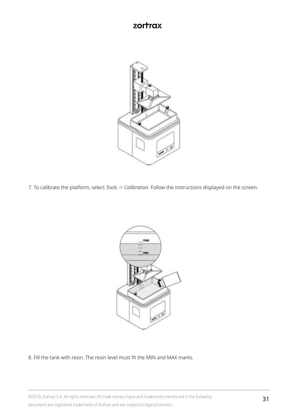

7. To calibrate the platform, select *Tools* -> *Calibration*. Follow the instructions displayed on the screen.



8. Fill the tank with resin. The resin level must fit the MIN and MAX marks.

©2019, Zortrax S.A. All rights reserved. All trade names, logos and trademarks mentioned in the following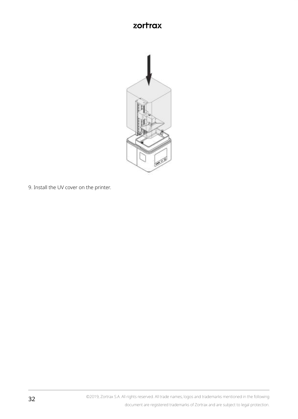

9. Install the UV cover on the printer.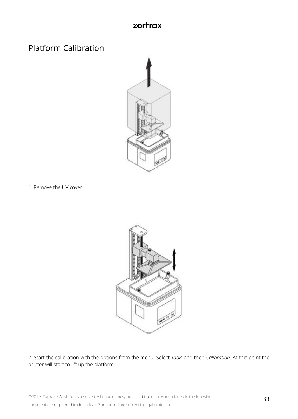# <span id="page-32-0"></span>Platform Calibration



1. Remove the UV cover.



2. Start the calibration with the options from the menu. Select *Tools* and then *Calibration*. At this point the printer will start to lift up the platform.

©2019, Zortrax S.A. All rights reserved. All trade names, logos and trademarks mentioned in the following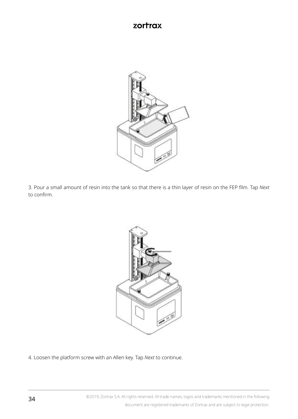

3. Pour a small amount of resin into the tank so that there is a thin layer of resin on the FEP film. Tap *Next*  to confirm.



4. Loosen the platform screw with an Allen key. Tap *Next* to continue.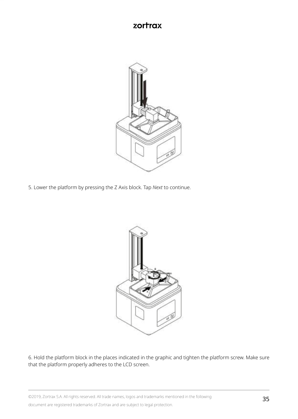

5. Lower the platform by pressing the Z Axis block. Tap *Next* to continue.



6. Hold the platform block in the places indicated in the graphic and tighten the platform screw. Make sure that the platform properly adheres to the LCD screen.

©2019, Zortrax S.A. All rights reserved. All trade names, logos and trademarks mentioned in the following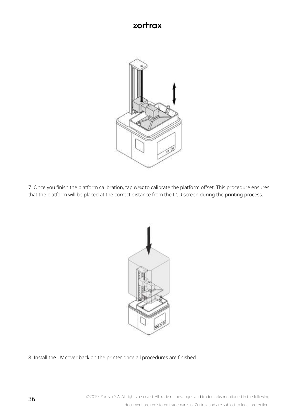

7. Once you finish the platform calibration, tap *Next* to calibrate the platform offset. This procedure ensures that the platform will be placed at the correct distance from the LCD screen during the printing process.



8. Install the UV cover back on the printer once all procedures are finished.

©2019, Zortrax S.A. All rights reserved. All trade names, logos and trademarks mentioned in the following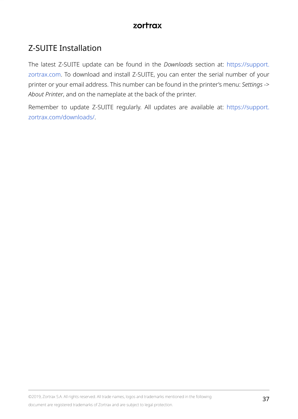# <span id="page-36-0"></span>Z-SUITE Installation

The latest Z-SUITE update can be found in the *Downloads* section at: [https://support.](https://support.zortrax.com) [zortrax.com.](https://support.zortrax.com) To download and install Z-SUITE, you can enter the serial number of your printer or your email address. This number can be found in the printer's menu: *Settings* -> *About Printer*, and on the nameplate at the back of the printer.

Remember to update Z-SUITE regularly. All updates are available at: [https://support.](https://support.zortrax.com/downloads/) [zortrax.com/downloads/](https://support.zortrax.com/downloads/).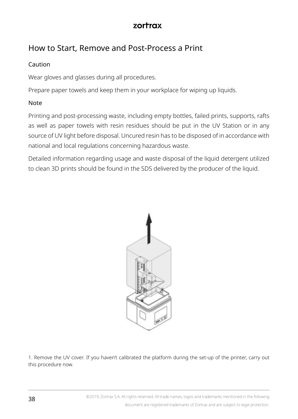# <span id="page-37-0"></span>How to Start, Remove and Post-Process a Print

#### Caution

Wear gloves and glasses during all procedures.

Prepare paper towels and keep them in your workplace for wiping up liquids.

#### Note

Printing and post-processing waste, including empty bottles, failed prints, supports, rafts as well as paper towels with resin residues should be put in the UV Station or in any source of UV light before disposal. Uncured resin has to be disposed of in accordance with national and local regulations concerning hazardous waste.

Detailed information regarding usage and waste disposal of the liquid detergent utilized to clean 3D prints should be found in the SDS delivered by the producer of the liquid.



1. Remove the UV cover. If you haven't calibrated the platform during the set-up of the printer, carry out this procedure now.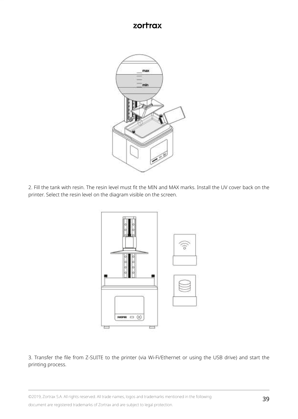

2. Fill the tank with resin. The resin level must fit the MIN and MAX marks. Install the UV cover back on the printer. Select the resin level on the diagram visible on the screen.



3. Transfer the file from Z-SUITE to the printer (via Wi-Fi/Ethernet or using the USB drive) and start the printing process.

©2019, Zortrax S.A. All rights reserved. All trade names, logos and trademarks mentioned in the following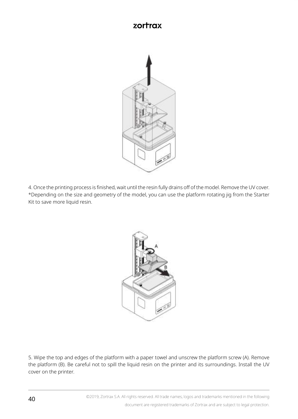

4. Once the printing process is finished, wait until the resin fully drains off of the model. Remove the UV cover. \*Depending on the size and geometry of the model, you can use the platform rotating jig from the Starter Kit to save more liquid resin.



5. Wipe the top and edges of the platform with a paper towel and unscrew the platform screw (A). Remove the platform (B). Be careful not to spill the liquid resin on the printer and its surroundings. Install the UV cover on the printer.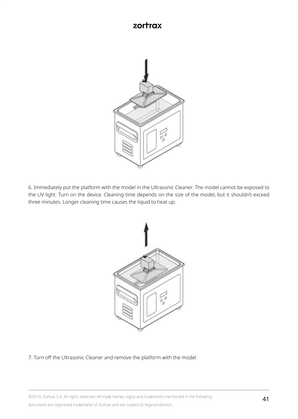

6. Immediately put the platform with the model in the Ultrasonic Cleaner. The model cannot be exposed to the UV light. Turn on the device. Cleaning time depends on the size of the model, but it shouldn't exceed three minutes. Longer cleaning time causes the liquid to heat up.



7. Turn off the Ultrasonic Cleaner and remove the platform with the model.

©2019, Zortrax S.A. All rights reserved. All trade names, logos and trademarks mentioned in the following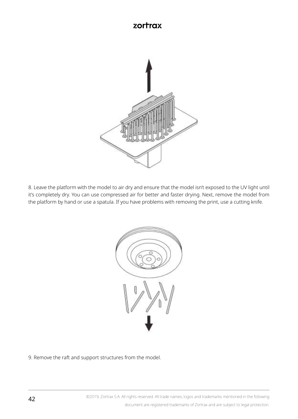

8. Leave the platform with the model to air dry and ensure that the model isn't exposed to the UV light until it's completely dry. You can use compressed air for better and faster drying. Next, remove the model from the platform by hand or use a spatula. If you have problems with removing the print, use a cutting knife.



9. Remove the raft and support structures from the model.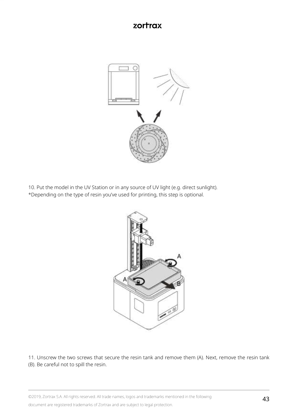

10. Put the model in the UV Station or in any source of UV light (e.g. direct sunlight). \*Depending on the type of resin you've used for printing, this step is optional.



11. Unscrew the two screws that secure the resin tank and remove them (A). Next, remove the resin tank (B). Be careful not to spill the resin.

©2019, Zortrax S.A. All rights reserved. All trade names, logos and trademarks mentioned in the following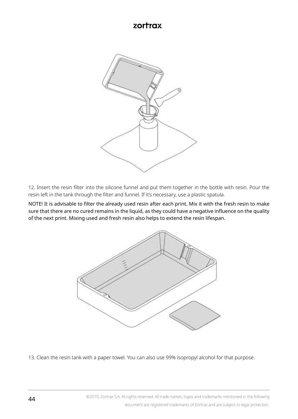

12. Insert the resin filter into the silicone funnel and put them together in the bottle with resin. Pour the resin left in the tank through the filter and funnel. If it's necessary, use a plastic spatula.

NOTE! It is advisable to filter the already used resin after each print. Mix it with the fresh resin to make sure that there are no cured remains in the liquid, as they could have a negative influence on the quality of the next print. Mixing used and fresh resin also helps to extend the resin lifespan.



13. Clean the resin tank with a paper towel. You can also use 99% isopropyl alcohol for that purpose.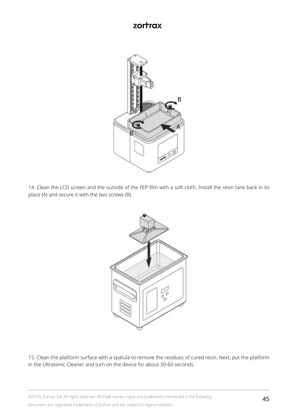

14. Clean the LCD screen and the outside of the FEP film with a soft cloth. Install the resin tank back in its place (A) and secure it with the two screws (B).



15. Clean the platform surface with a spatula to remove the residues of cured resin. Next, put the platform in the Ultrasonic Cleaner and turn on the device for about 30-60 seconds.

©2019, Zortrax S.A. All rights reserved. All trade names, logos and trademarks mentioned in the following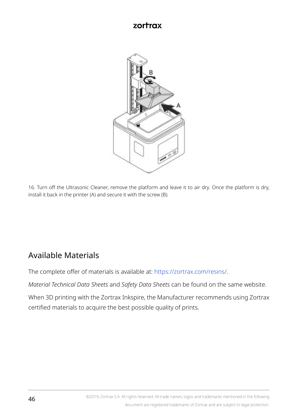<span id="page-45-0"></span>

16. Turn off the Ultrasonic Cleaner, remove the platform and leave it to air dry. Once the platform is dry, install it back in the printer (A) and secure it with the screw (B).

# Available Materials

The complete offer of materials is available at: [https://zortrax.com/resins/.](https://zortrax.com/resins/)

*Material Technical Data Sheets* and *Safety Data Sheets* can be found on the same website.

When 3D printing with the Zortrax Inkspire, the Manufacturer recommends using Zortrax certified materials to acquire the best possible quality of prints.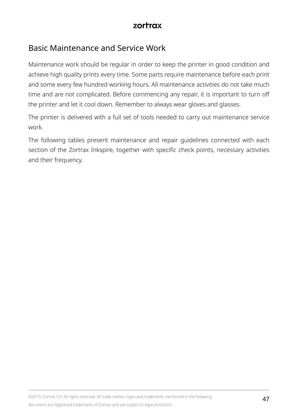# <span id="page-46-0"></span>Basic Maintenance and Service Work

Maintenance work should be regular in order to keep the printer in good condition and achieve high quality prints every time. Some parts require maintenance before each print and some every few hundred working hours. All maintenance activities do not take much time and are not complicated. Before commencing any repair, it is important to turn off the printer and let it cool down. Remember to always wear gloves and glasses.

The printer is delivered with a full set of tools needed to carry out maintenance service work.

The following tables present maintenance and repair guidelines connected with each section of the Zortrax Inkspire, together with specific check points, necessary activities and their frequency.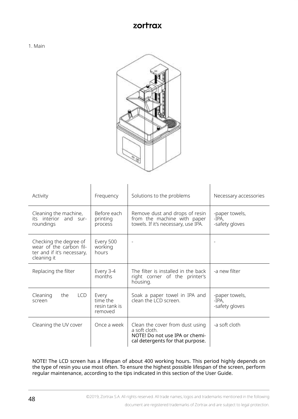



| Activity                                                                                       | Frequency                                     | Solutions to the problems                                                                                              | Necessary accessories                     |
|------------------------------------------------------------------------------------------------|-----------------------------------------------|------------------------------------------------------------------------------------------------------------------------|-------------------------------------------|
| Cleaning the machine,<br>its interior and sur-<br>roundings                                    | Before each<br>printing<br>process            | Remove dust and drops of resin<br>from the machine with paper<br>towels. If it's necessary, use IPA.                   | -paper towels,<br>-IPA.<br>-safety gloves |
| Checking the degree of<br>wear of the carbon fil-<br>ter and if it's necessary,<br>cleaning it | Every 500<br>working<br>hours                 |                                                                                                                        |                                           |
| Replacing the filter                                                                           | Every 3-4<br>months                           | The filter is installed in the back<br>right corner of the printer's<br>housing.                                       | -a new filter                             |
| <b>LCD</b><br>Cleaning<br>the<br>screen                                                        | Every<br>time the<br>resin tank is<br>removed | Soak a paper towel in IPA and<br>clean the LCD screen.                                                                 | -paper towels,<br>-IPA.<br>-safety gloves |
| Cleaning the UV cover                                                                          | Once a week                                   | Clean the cover from dust using<br>a soft cloth.<br>NOTE! Do not use IPA or chemi-<br>cal detergents for that purpose. | -a soft cloth                             |

NOTE! The LCD screen has a lifespan of about 400 working hours. This period highly depends on the type of resin you use most often. To ensure the highest possible lifespan of the screen, perform regular maintenance, according to the tips indicated in this section of the User Guide.

©2019, Zortrax S.A. All rights reserved. All trade names, logos and trademarks mentioned in the following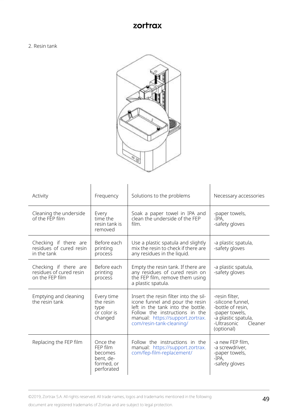2. Resin tank



| Activity                                                            | Frequency                                                                | Solutions to the problems                                                                                                                                                                                       | Necessary accessories                                                                                                                     |
|---------------------------------------------------------------------|--------------------------------------------------------------------------|-----------------------------------------------------------------------------------------------------------------------------------------------------------------------------------------------------------------|-------------------------------------------------------------------------------------------------------------------------------------------|
| Cleaning the underside<br>of the FFP film                           | Every<br>time the<br>resin tank is<br>removed                            | Soak a paper towel in IPA and<br>clean the underside of the FFP<br>film.                                                                                                                                        | -paper towels,<br>-TPA.<br>-safety gloves                                                                                                 |
| Checking if there are<br>residues of cured resin<br>in the tank     | Before each<br>printing<br>process                                       | Use a plastic spatula and slightly<br>mix the resin to check if there are<br>any residues in the liquid.                                                                                                        | -a plastic spatula,<br>-safety gloves                                                                                                     |
| Checking if there are<br>residues of cured resin<br>on the FFP film | Before each<br>printing<br>process                                       | Empty the resin tank. If there are<br>any residues of cured resin on<br>the FEP film, remove them using<br>a plastic spatula.                                                                                   | -a plastic spatula.<br>-safety gloves                                                                                                     |
| Emptying and cleaning<br>the resin tank                             | Every time<br>the resin<br>type<br>or color is<br>changed                | Insert the resin filter into the sil-<br>icone funnel and pour the resin<br>left in the tank into the bottle.<br>Follow the instructions in the<br>manual: https://support.zortrax.<br>com/resin-tank-cleaning/ | -resin filter.<br>-silicone funnel.<br>-bottle of resin.<br>-paper towels.<br>-a plastic spatula,<br>-Ultrasonic<br>Cleaner<br>(optional) |
| Replacing the FEP film                                              | Once the<br>FFP film<br>becomes<br>bent, de-<br>formed, or<br>perforated | Follow the instructions in the<br>manual: https://support.zortrax.<br>com/fep-film-replacement/                                                                                                                 | -a new FEP film.<br>-a screwdriver.<br>-paper towels,<br>-TPA.<br>-safety gloves                                                          |

©2019, Zortrax S.A. All rights reserved. All trade names, logos and trademarks mentioned in the following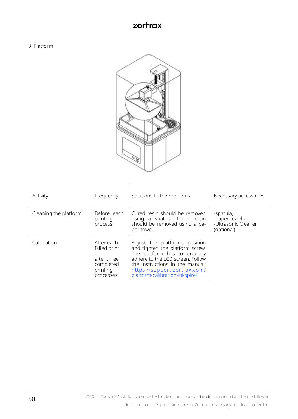3. Platform



| Activity              | Frequency                                                                             | Solutions to the problems                                                                                                                                                                                                                  | Necessary accessories                                            |
|-----------------------|---------------------------------------------------------------------------------------|--------------------------------------------------------------------------------------------------------------------------------------------------------------------------------------------------------------------------------------------|------------------------------------------------------------------|
| Cleaning the platform | Before each<br>printing<br>process                                                    | Cured resin should be removed<br>using a spatula. Liquid resin<br>should be removed using a pa-<br>per towel.                                                                                                                              | -spatula,<br>-paper towels,<br>-Ultrasonic Cleaner<br>(optional) |
| Calibration           | After each<br>failed print<br>or<br>after three<br>completed<br>printing<br>processes | Adjust the platform's position<br>and tighten the platform screw.<br>The platform has to properly<br>adhere to the LCD screen. Follow<br>the instructions in the manual:<br>https://support.zortrax.com/<br>platform-calibration-inkspire/ |                                                                  |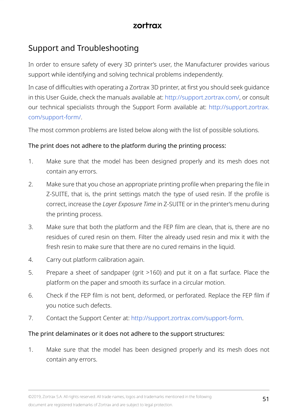# <span id="page-50-0"></span>Support and Troubleshooting

In order to ensure safety of every 3D printer's user, the Manufacturer provides various support while identifying and solving technical problems independently.

In case of difficulties with operating a Zortrax 3D printer, at first you should seek guidance in this User Guide, check the manuals available at: <http://support.zortrax.com/>, or consult our technical specialists through the Support Form available at: [http://support.zortrax.](http://support.zortrax.com/support-form/) [com/support-form/.](http://support.zortrax.com/support-form/)

The most common problems are listed below along with the list of possible solutions.

#### The print does not adhere to the platform during the printing process:

- 1. Make sure that the model has been designed properly and its mesh does not contain any errors.
- 2. Make sure that you chose an appropriate printing profile when preparing the file in Z-SUITE, that is, the print settings match the type of used resin. If the profile is correct, increase the *Layer Exposure Time* in Z-SUITE or in the printer's menu during the printing process.
- 3. Make sure that both the platform and the FEP film are clean, that is, there are no residues of cured resin on them. Filter the already used resin and mix it with the fresh resin to make sure that there are no cured remains in the liquid.
- 4. Carry out platform calibration again.
- 5. Prepare a sheet of sandpaper (grit >160) and put it on a flat surface. Place the platform on the paper and smooth its surface in a circular motion.
- 6. Check if the FEP film is not bent, deformed, or perforated. Replace the FEP film if you notice such defects.
- 7. Contact the Support Center at:<http://support.zortrax.com/support-form>.

#### The print delaminates or it does not adhere to the support structures:

1. Make sure that the model has been designed properly and its mesh does not contain any errors.

©2019, Zortrax S.A. All rights reserved. All trade names, logos and trademarks mentioned in the following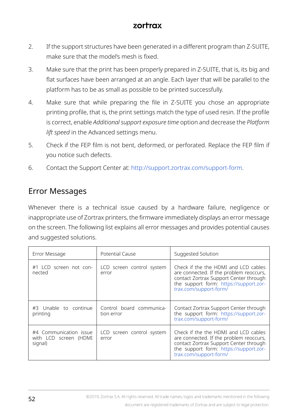- <span id="page-51-0"></span>2. If the support structures have been generated in a different program than Z-SUITE, make sure that the model's mesh is fixed.
- 3. Make sure that the print has been properly prepared in Z-SUITE, that is, its big and flat surfaces have been arranged at an angle. Each layer that will be parallel to the platform has to be as small as possible to be printed successfully.
- 4. Make sure that while preparing the file in Z-SUITE you chose an appropriate printing profile, that is, the print settings match the type of used resin. If the profile is correct, enable *Additional support exposure time* option and decrease the *Platform lift speed* in the Advanced settings menu.
- 5. Check if the FEP film is not bent, deformed, or perforated. Replace the FEP film if you notice such defects.
- 6. Contact the Support Center at:<http://support.zortrax.com/support-form>.

## Error Messages

Whenever there is a technical issue caused by a hardware failure, negligence or inappropriate use of Zortrax printers, the firmware immediately displays an error message on the screen. The following list explains all error messages and provides potential causes and suggested solutions.

| Error Message                                              | Potential Cause                        | Suggested Solution                                                                                                                                                                            |
|------------------------------------------------------------|----------------------------------------|-----------------------------------------------------------------------------------------------------------------------------------------------------------------------------------------------|
| #1 LCD screen not con-<br>nected                           | LCD screen control system<br>error     | Check if the the HDMI and LCD cables<br>are connected. If the problem reoccurs,<br>contact Zortrax Support Center through<br>the support form: https://support.zor-<br>trax.com/support-form/ |
| #3 Unable to continue<br>printing                          | Control board communica-<br>tion error | Contact Zortrax Support Center through<br>the support form: https://support.zor-<br>trax.com/support-form/                                                                                    |
| #4 Communication issue<br>with LCD screen (HDMI<br>signal) | LCD screen control system<br>error     | Check if the the HDMI and LCD cables<br>are connected. If the problem reoccurs,<br>contact Zortrax Support Center through<br>the support form: https://support.zor-<br>trax.com/support-form/ |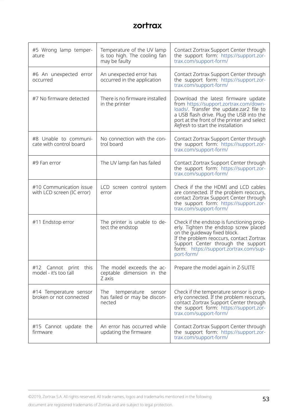| #5 Wrong lamp temper-<br>ature                        | Temperature of the UV lamp<br>is too high. The cooling fan<br>may be faulty | Contact Zortrax Support Center through<br>the support form: https://support.zor-<br>trax.com/support-form/                                                                                                                                                    |
|-------------------------------------------------------|-----------------------------------------------------------------------------|---------------------------------------------------------------------------------------------------------------------------------------------------------------------------------------------------------------------------------------------------------------|
| #6 An unexpected error<br>occurred                    | An unexpected error has<br>occurred in the application                      | Contact Zortrax Support Center through<br>the support form: https://support.zor-<br>trax.com/support-form/                                                                                                                                                    |
| #7 No firmware detected                               | There is no firmware installed<br>in the printer                            | Download the latest firmware update<br>from https://support.zortrax.com/down-<br>loads/. Transfer the update.zar2 file to<br>a USB flash drive. Plug the USB into the<br>port at the front of the printer and select<br>Refresh to start the installation     |
| #8 Unable to communi-<br>cate with control board      | No connection with the con-<br>trol board                                   | Contact Zortrax Support Center through<br>the support form: https://support.zor-<br>trax.com/support-form/                                                                                                                                                    |
| #9 Fan error                                          | The UV lamp fan has failed                                                  | Contact Zortrax Support Center through<br>the support form: https://support.zor-<br>trax.com/support-form/                                                                                                                                                    |
| #10 Communication issue<br>with LCD screen (IC error) | LCD screen control system<br>error                                          | Check if the the HDMI and LCD cables<br>are connected. If the problem reoccurs,<br>contact Zortrax Support Center through<br>the support form: https://support.zor-<br>trax.com/support-form/                                                                 |
| #11 Endstop error                                     | The printer is unable to de-<br>tect the endstop                            | Check if the endstop is functioning prop-<br>erly. Tighten the endstop screw placed<br>on the quideway fixed block.<br>If the problem reoccurs, contact Zortrax<br>Support Center through the support<br>form: https://support.zortrax.com/sup-<br>port-form/ |
| #12 Cannot print this<br>model - it's too tall        | The model exceeds the ac-<br>ceptable dimension in the<br>7 axis            | Prepare the model again in Z-SUITE                                                                                                                                                                                                                            |
| #14 Temperature sensor<br>broken or not connected     | The<br>temperature<br>sensor<br>has failed or may be discon-<br>nected      | Check if the temperature sensor is prop-<br>erly connected. If the problem reoccurs,<br>contact Zortrax Support Center through<br>the support form: https://support.zor-<br>trax.com/support-form/                                                            |
| #15 Cannot update the<br>firmware                     | An error has occurred while<br>updating the firmware                        | Contact Zortrax Support Center through<br>the support form: https://support.zor-<br>trax.com/support-form/                                                                                                                                                    |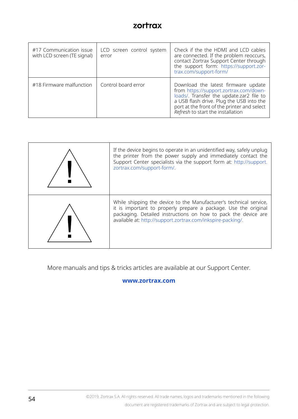| #17 Communication issue<br>with LCD screen (TE signal) | LCD screen control system<br>error | Check if the the HDMI and LCD cables<br>are connected. If the problem reoccurs,<br>contact Zortrax Support Center through<br>the support form: https://support.zor-<br>trax.com/support-form/                                                             |
|--------------------------------------------------------|------------------------------------|-----------------------------------------------------------------------------------------------------------------------------------------------------------------------------------------------------------------------------------------------------------|
| #18 Firmware malfunction                               | Control board error                | Download the latest firmware update<br>from https://support.zortrax.com/down-<br>loads/. Transfer the update.zar2 file to<br>a USB flash drive. Plug the USB into the<br>port at the front of the printer and select<br>Refresh to start the installation |

| If the device begins to operate in an unidentified way, safely unplug<br>the printer from the power supply and immediately contact the<br>Support Center specialists via the support form at: http://support.<br>zortrax.com/support-form/.                            |
|------------------------------------------------------------------------------------------------------------------------------------------------------------------------------------------------------------------------------------------------------------------------|
| While shipping the device to the Manufacturer's technical service,<br>it is important to properly prepare a package. Use the original<br>packaging. Detailed instructions on how to pack the device are<br>available at: http://support.zortrax.com/inkspire-packing/. |

More manuals and tips & tricks articles are available at our Support Center.

#### **[www.zortrax.com](http://www.zortrax.com)**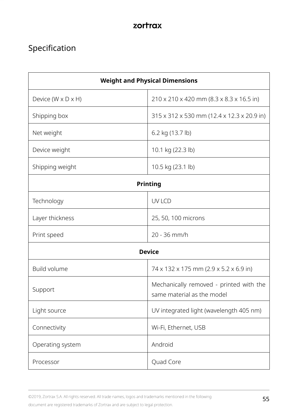# <span id="page-54-0"></span>Specification

| <b>Weight and Physical Dimensions</b> |                                                                       |  |
|---------------------------------------|-----------------------------------------------------------------------|--|
| Device (W x D x H)                    | 210 x 210 x 420 mm (8.3 x 8.3 x 16.5 in)                              |  |
| Shipping box                          | 315 x 312 x 530 mm (12.4 x 12.3 x 20.9 in)                            |  |
| Net weight                            | 6.2 kg (13.7 lb)                                                      |  |
| Device weight                         | 10.1 kg (22.3 lb)                                                     |  |
| Shipping weight                       | 10.5 kg (23.1 lb)                                                     |  |
| Printing                              |                                                                       |  |
| Technology                            | <b>UVICD</b>                                                          |  |
| Layer thickness                       | 25, 50, 100 microns                                                   |  |
| Print speed                           | $20 - 36$ mm/h                                                        |  |
| <b>Device</b>                         |                                                                       |  |
| Build volume                          | 74 x 132 x 175 mm (2.9 x 5.2 x 6.9 in)                                |  |
| Support                               | Mechanically removed - printed with the<br>same material as the model |  |
| Light source                          | UV integrated light (wavelength 405 nm)                               |  |
| Connectivity                          | Wi-Fi, Ethernet, USB                                                  |  |
| Operating system                      | Android                                                               |  |
| Processor                             | Quad Core                                                             |  |

©2019, Zortrax S.A. All rights reserved. All trade names, logos and trademarks mentioned in the following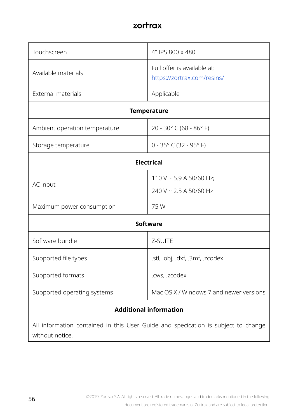| Touchscreen                                                                                          | 4" IPS 800 x 480                                           |  |
|------------------------------------------------------------------------------------------------------|------------------------------------------------------------|--|
| Available materials                                                                                  | Full offer is available at:<br>https://zortrax.com/resins/ |  |
| <b>External materials</b>                                                                            | Applicable                                                 |  |
| <b>Temperature</b>                                                                                   |                                                            |  |
| Ambient operation temperature                                                                        | 20 - 30° C (68 - 86° F)                                    |  |
| Storage temperature                                                                                  | $0 - 35^{\circ}$ C (32 - 95° F)                            |  |
| <b>Electrical</b>                                                                                    |                                                            |  |
| AC input                                                                                             | 110 V ~ 5.9 A 50/60 Hz;<br>240 V ~ 2.5 A 50/60 Hz          |  |
| Maximum power consumption                                                                            | 75 W                                                       |  |
| Software                                                                                             |                                                            |  |
| Software bundle                                                                                      | <b>7-SUITE</b>                                             |  |
| Supported file types                                                                                 | .stl, .obj, .dxf, .3mf, .zcodex                            |  |
| Supported formats                                                                                    | .cws, .zcodex                                              |  |
| Supported operating systems                                                                          | Mac OS X / Windows 7 and newer versions                    |  |
| <b>Additional information</b>                                                                        |                                                            |  |
| All information contained in this User Guide and specication is subject to change<br>without notice. |                                                            |  |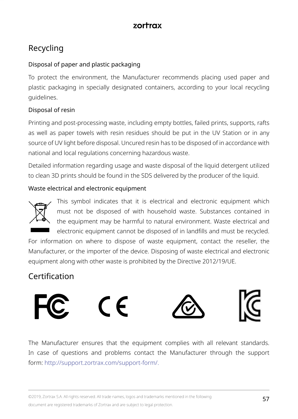# <span id="page-56-0"></span>Recycling

#### Disposal of paper and plastic packaging

To protect the environment, the Manufacturer recommends placing used paper and plastic packaging in specially designated containers, according to your local recycling guidelines.

#### Disposal of resin

Printing and post-processing waste, including empty bottles, failed prints, supports, rafts as well as paper towels with resin residues should be put in the UV Station or in any source of UV light before disposal. Uncured resin has to be disposed of in accordance with national and local regulations concerning hazardous waste.

Detailed information regarding usage and waste disposal of the liquid detergent utilized to clean 3D prints should be found in the SDS delivered by the producer of the liquid.

#### Waste electrical and electronic equipment



This symbol indicates that it is electrical and electronic equipment which must not be disposed of with household waste. Substances contained in the equipment may be harmful to natural environment. Waste electrical and electronic equipment cannot be disposed of in landfills and must be recycled.

For information on where to dispose of waste equipment, contact the reseller, the Manufacturer, or the importer of the device. Disposing of waste electrical and electronic equipment along with other waste is prohibited by the Directive 2012/19/UE.

# Certification



The Manufacturer ensures that the equipment complies with all relevant standards. In case of questions and problems contact the Manufacturer through the support form: http://support.zortrax.com/support-form/.

©2019, Zortrax S.A. All rights reserved. All trade names, logos and trademarks mentioned in the following